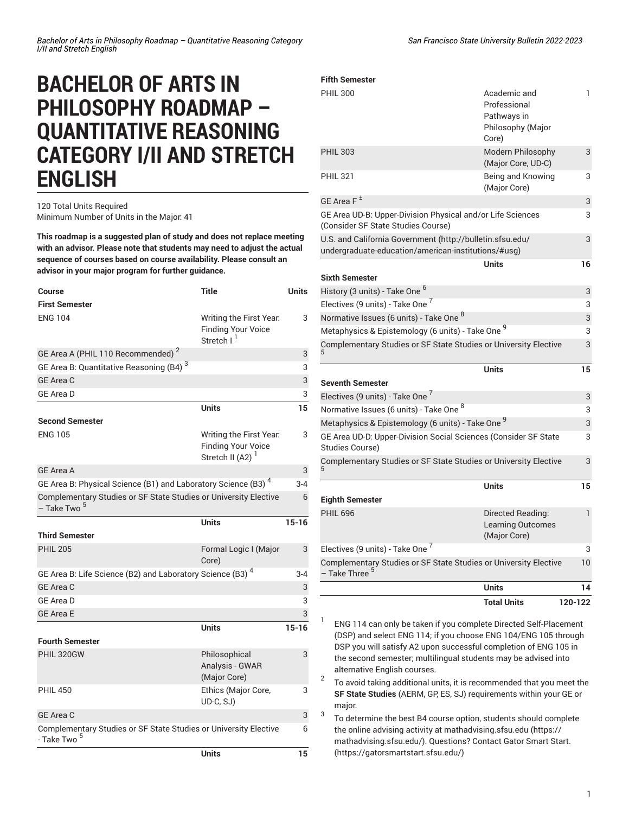# **BACHELOR OF ARTS IN PHILOSOPHY ROADMAP – QUANTITATIVE REASONING CATEGORY I/II AND STRETCH ENGLISH**

## 120 Total Units Required Minimum Number of Units in the Major: 41

**This roadmap is a suggested plan of study and does not replace meeting with an advisor. Please note that students may need to adjust the actual sequence of courses based on course availability. Please consult an advisor in your major program for further guidance.**

| Course                                                                                      | <b>Title</b>                                                                   | <b>Units</b> |
|---------------------------------------------------------------------------------------------|--------------------------------------------------------------------------------|--------------|
| <b>First Semester</b>                                                                       |                                                                                |              |
| <b>ENG 104</b>                                                                              | Writing the First Year.<br><b>Finding Your Voice</b><br>Stretch I <sup>1</sup> | 3            |
| GE Area A (PHIL 110 Recommended) <sup>2</sup>                                               |                                                                                | 3            |
| GE Area B: Quantitative Reasoning (B4) <sup>3</sup>                                         |                                                                                | 3            |
| <b>GE Area C</b>                                                                            |                                                                                | 3            |
| <b>GE Area D</b>                                                                            |                                                                                | 3            |
|                                                                                             | <b>Units</b>                                                                   | 15           |
| <b>Second Semester</b>                                                                      |                                                                                |              |
| <b>ENG 105</b>                                                                              | Writing the First Year.<br><b>Finding Your Voice</b><br>Stretch II (A2) $1$    | 3            |
| <b>GE Area A</b>                                                                            |                                                                                | 3            |
| GE Area B: Physical Science (B1) and Laboratory Science (B3) <sup>4</sup>                   |                                                                                | $3 - 4$      |
| Complementary Studies or SF State Studies or University Elective<br>- Take Two <sup>5</sup> |                                                                                | 6            |
|                                                                                             | <b>Units</b>                                                                   | $15 - 16$    |
| <b>Third Semester</b>                                                                       |                                                                                |              |
| <b>PHIL 205</b>                                                                             | Formal Logic I (Major<br>Core)                                                 | 3            |
| GE Area B: Life Science (B2) and Laboratory Science (B3) <sup>4</sup>                       |                                                                                | $3 - 4$      |
| GE Area C                                                                                   |                                                                                | 3            |
| <b>GE Area D</b>                                                                            |                                                                                | 3            |
| <b>GE Area E</b>                                                                            |                                                                                | 3            |
|                                                                                             | <b>Units</b>                                                                   | $15 - 16$    |
| <b>Fourth Semester</b>                                                                      |                                                                                |              |
| PHIL 320GW                                                                                  | Philosophical<br>Analysis - GWAR<br>(Major Core)                               | 3            |
| <b>PHIL 450</b>                                                                             | Ethics (Major Core,<br>UD-C, SJ)                                               | 3            |
| <b>GE Area C</b>                                                                            |                                                                                | 3            |
| Complementary Studies or SF State Studies or University Elective<br>- Take Two <sup>5</sup> |                                                                                | 6            |
|                                                                                             | <b>Units</b>                                                                   | 15           |

### PHIL 300 **Academic and** Professional Pathways in Philosophy (Major Core) 1 PHIL 303 Modern Philosophy (Major Core, UD-C) 3 PHIL 321 Being and Knowing (Major Core) 3 GE [Area](/undergraduate-education/general-education/lower-division/#areaftext) F  $^{\pm}$ 3 GE Area UD-B: [Upper-Division](/undergraduate-education/general-education/upper-division/#physicalandorlifesciencesudbtext) Physical and/or Life Sciences [\(Consider SF State Studies Course\)](/undergraduate-education/general-education/upper-division/#physicalandorlifesciencesudbtext) 3 U.S. and California [Government](http://bulletin.sfsu.edu/undergraduate-education/american-institutions/#usg) ([http://bulletin.sfsu.edu/](http://bulletin.sfsu.edu/undergraduate-education/american-institutions/#usg) [undergraduate-education/american-institutions/#usg](http://bulletin.sfsu.edu/undergraduate-education/american-institutions/#usg)) 3 **Units 16 Sixth Semester** History (3 units) - Take One <sup>6</sup> 3 Electives (9 units) - Take One <sup>7</sup> 3 Normative Issues (6 units) - Take One  $^8$ 3 Metaphysics & Epistemology (6 units) - Take One <sup>9</sup> 3 [Complementary](/undergraduate-education/sf-state-studies/) Studies or SF State Studies or University Elective 3 **Units 15 Seventh Semester** Electives (9 units) - Take One <sup>7</sup> 3 Normative Issues (6 units) - Take One  $^8$ 3 Metaphysics & Epistemology (6 units) - Take One <sup>9</sup> 3 GE Area UD-D: [Upper-Division](/undergraduate-education/general-education/upper-division/#socialsciencesuddtext) Social Sciences (Consider SF State [Studies Course\)](/undergraduate-education/general-education/upper-division/#socialsciencesuddtext) 3 [Complementary](/undergraduate-education/sf-state-studies/) Studies or SF State Studies or University Elective 3 **Units 15 Eighth Semester** PHIL 696 Directed Reading: Learning Outcomes (Major Core) 1 Electives (9 units) - Take One <sup>7</sup> 3 [Complementary](/undergraduate-education/sf-state-studies/) Studies or SF State Studies or University Elective – Take [Three](/undergraduate-education/sf-state-studies/) <sup>5</sup> 10 **Units 14 Total Units 120-122**

ENG 114 can only be taken if you complete Directed Self-Placement (DSP) and select ENG 114; if you choose ENG 104/ENG 105 through DSP you will satisfy A2 upon successful completion of ENG 105 in the second semester; multilingual students may be advised into alternative English courses.

2 To avoid taking additional units, it is recommended that you meet the **SF State Studies** (AERM, GP, ES, SJ) requirements within your GE or major.

3 To determine the best B4 course option, students should complete the online advising activity at [mathadvising.sfsu.edu \(https://](https://mathadvising.sfsu.edu/) [mathadvising.sfsu.edu/](https://mathadvising.sfsu.edu/)). Questions? Contact Gator [Smart](https://gatorsmartstart.sfsu.edu/) Start. [\(https://gatorsmartstart.sfsu.edu/](https://gatorsmartstart.sfsu.edu/))

**Fifth Semester**

5

5

1